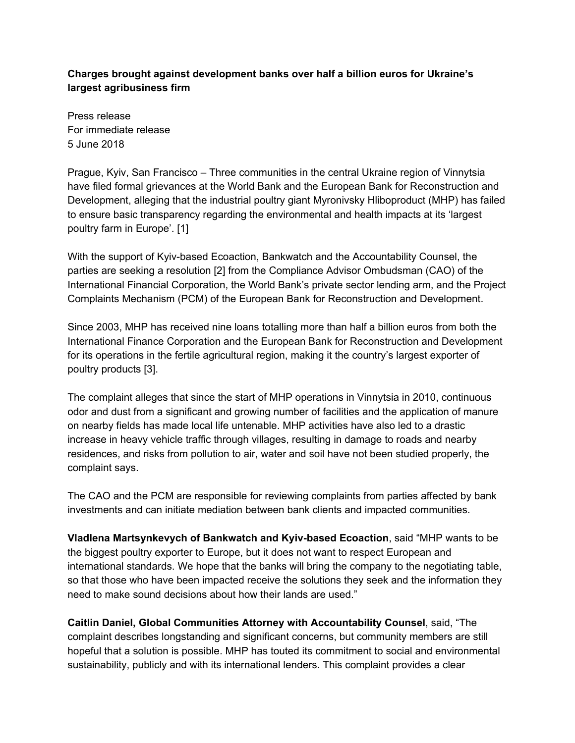## **Charges brought against development banks over half a billion euros for Ukraine's largest agribusiness firm**

Press release For immediate release 5 June 2018

Prague, Kyiv, San Francisco – Three communities in the central Ukraine region of Vinnytsia have filed formal grievances at the World Bank and the European Bank for Reconstruction and Development, alleging that the industrial poultry giant Myronivsky Hliboproduct (MHP) has failed to ensure basic transparency regarding the environmental and health impacts at its 'largest poultry farm in Europe'. [1]

With the support of Kyiv-based Ecoaction, Bankwatch and the Accountability Counsel, the parties are seeking a resolution [2] from the Compliance Advisor Ombudsman (CAO) of the International Financial Corporation, the World Bank's private sector lending arm, and the Project Complaints Mechanism (PCM) of the European Bank for Reconstruction and Development.

Since 2003, MHP has received nine loans totalling more than half a billion euros from both the International Finance Corporation and the European Bank for Reconstruction and Development for its operations in the fertile agricultural region, making it the country's largest exporter of poultry products [3].

The complaint alleges that since the start of MHP operations in Vinnytsia in 2010, continuous odor and dust from a significant and growing number of facilities and the application of manure on nearby fields has made local life untenable. MHP activities have also led to a drastic increase in heavy vehicle traffic through villages, resulting in damage to roads and nearby residences, and risks from pollution to air, water and soil have not been studied properly, the complaint says.

The CAO and the PCM are responsible for reviewing complaints from parties affected by bank investments and can initiate mediation between bank clients and impacted communities.

**Vladlena Martsynkevych of Bankwatch and Kyiv-based Ecoaction**, said "MHP wants to be the biggest poultry exporter to Europe, but it does not want to respect European and international standards. We hope that the banks will bring the company to the negotiating table, so that those who have been impacted receive the solutions they seek and the information they need to make sound decisions about how their lands are used."

**Caitlin Daniel, Global Communities Attorney with Accountability Counsel**, said, "The complaint describes longstanding and significant concerns, but community members are still hopeful that a solution is possible. MHP has touted its commitment to social and environmental sustainability, publicly and with its international lenders. This complaint provides a clear